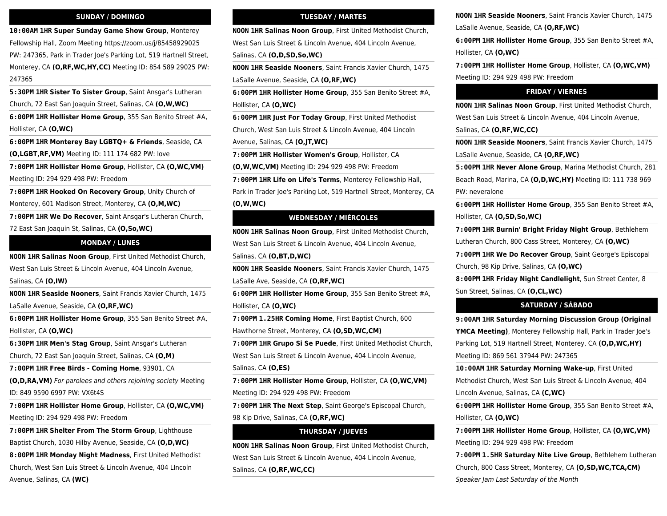#### **SUNDAY / DOMINGO**

**10:00AM 1HR Super Sunday Game Show Group**, Monterey Fellowship Hall, Zoom Meeting https://zoom.us/j/85458929025 PW: 247365, Park in Trader Joe's Parking Lot, 519 Hartnell Street, Monterey, CA **(O,RF,WC,HY,CC)** Meeting ID: 854 589 29025 PW: 247365

**5:30PM 1HR Sister To Sister Group**, Saint Ansgar's Lutheran Church, 72 East San Joaquin Street, Salinas, CA **(O,W,WC)**

**6:00PM 1HR Hollister Home Group**, 355 San Benito Street #A, Hollister, CA **(O,WC)**

**6:00PM 1HR Monterey Bay LGBTQ+ & Friends**, Seaside, CA **(O,LGBT,RF,VM)** Meeting ID: 111 174 682 PW: love

**7:00PM 1HR Hollister Home Group**, Hollister, CA **(O,WC,VM)** Meeting ID: 294 929 498 PW: Freedom

**7:00PM 1HR Hooked On Recovery Group**, Unity Church of Monterey, 601 Madison Street, Monterey, CA **(O,M,WC)**

**7:00PM 1HR We Do Recover**, Saint Ansgar's Lutheran Church, 72 East San Joaquin St, Salinas, CA **(O,So,WC)**

## **MONDAY / LUNES**

**NOON 1HR Salinas Noon Group**, First United Methodist Church, West San Luis Street & Lincoln Avenue, 404 Lincoln Avenue,

Salinas, CA **(O,IW)**

**NOON 1HR Seaside Nooners**, Saint Francis Xavier Church, 1475 LaSalle Avenue, Seaside, CA **(O,RF,WC)**

**6:00PM 1HR Hollister Home Group**, 355 San Benito Street #A, Hollister, CA **(O,WC)**

**6:30PM 1HR Men's Stag Group**, Saint Ansgar's Lutheran Church, 72 East San Joaquin Street, Salinas, CA **(O,M)**

**7:00PM 1HR Free Birds - Coming Home**, 93901, CA

**(O,D,RA,VM)** For parolees and others rejoining society Meeting ID: 849 9590 6997 PW: VX6t4S

**7:00PM 1HR Hollister Home Group**, Hollister, CA **(O,WC,VM)** Meeting ID: 294 929 498 PW: Freedom

**7:00PM 1HR Shelter From The Storm Group**, Lighthouse Baptist Church, 1030 Hilby Avenue, Seaside, CA **(O,D,WC)**

**8:00PM 1HR Monday Night Madness**, First United Methodist Church, West San Luis Street & Lincoln Avenue, 404 LIncoln Avenue, Salinas, CA **(WC)**

### **TUESDAY / MARTES**

**NOON 1HR Salinas Noon Group**, First United Methodist Church, West San Luis Street & Lincoln Avenue, 404 Lincoln Avenue, Salinas, CA **(O,D,SD,So,WC)**

**NOON 1HR Seaside Nooners**, Saint Francis Xavier Church, 1475 LaSalle Avenue, Seaside, CA **(O,RF,WC)**

**6:00PM 1HR Hollister Home Group**, 355 San Benito Street #A, Hollister, CA **(O,WC)**

**6:00PM 1HR Just For Today Group**, First United Methodist Church, West San Luis Street & Lincoln Avenue, 404 Lincoln Avenue, Salinas, CA **(O,JT,WC)**

**7:00PM 1HR Hollister Women's Group**, Hollister, CA

**(O,W,WC,VM)** Meeting ID: 294 929 498 PW: Freedom

**7:00PM 1HR Life on Life's Terms**, Monterey Fellowship Hall, Park in Trader Joe's Parking Lot, 519 Hartnell Street, Monterey, CA **(O,W,WC)**

#### **WEDNESDAY / MIÉRCOLES**

**NOON 1HR Salinas Noon Group**, First United Methodist Church, West San Luis Street & Lincoln Avenue, 404 Lincoln Avenue, Salinas, CA **(O,BT,D,WC)**

**NOON 1HR Seaside Nooners**, Saint Francis Xavier Church, 1475 LaSalle Ave, Seaside, CA **(O,RF,WC)**

**6:00PM 1HR Hollister Home Group**, 355 San Benito Street #A, Hollister, CA **(O,WC)**

**7:00PM 1.25HR Coming Home**, First Baptist Church, 600 Hawthorne Street, Monterey, CA **(O,SD,WC,CM)**

**7:00PM 1HR Grupo Si Se Puede**, First United Methodist Church, West San Luis Street & Lincoln Avenue, 404 Lincoln Avenue, Salinas, CA **(O,ES)**

**7:00PM 1HR Hollister Home Group**, Hollister, CA **(O,WC,VM)** Meeting ID: 294 929 498 PW: Freedom

**7:00PM 1HR The Next Step**, Saint George's Episcopal Church, 98 Kip Drive, Salinas, CA **(O,RF,WC)**

# **THURSDAY / JUEVES**

**NOON 1HR Salinas Noon Group**, First United Methodist Church, West San Luis Street & Lincoln Avenue, 404 Lincoln Avenue, Salinas, CA **(O,RF,WC,CC)**

**NOON 1HR Seaside Nooners**, Saint Francis Xavier Church, 1475

LaSalle Avenue, Seaside, CA **(O,RF,WC)**

**6:00PM 1HR Hollister Home Group**, 355 San Benito Street #A, Hollister, CA **(O,WC)**

**7:00PM 1HR Hollister Home Group**, Hollister, CA **(O,WC,VM)** Meeting ID: 294 929 498 PW: Freedom

#### **FRIDAY / VIERNES**

**NOON 1HR Salinas Noon Group**, First United Methodist Church, West San Luis Street & Lincoln Avenue, 404 Lincoln Avenue,

Salinas, CA **(O,RF,WC,CC)**

**NOON 1HR Seaside Nooners**, Saint Francis Xavier Church, 1475 LaSalle Avenue, Seaside, CA **(O,RF,WC)**

**5:00PM 1HR Never Alone Group**, Marina Methodist Church, 281 Beach Road, Marina, CA **(O,D,WC,HY)** Meeting ID: 111 738 969 PW: neveralone

**6:00PM 1HR Hollister Home Group**, 355 San Benito Street #A, Hollister, CA **(O,SD,So,WC)**

**7:00PM 1HR Burnin' Bright Friday Night Group**, Bethlehem Lutheran Church, 800 Cass Street, Monterey, CA **(O,WC)**

**7:00PM 1HR We Do Recover Group**, Saint George's Episcopal Church, 98 Kip Drive, Salinas, CA **(O,WC)**

**8:00PM 1HR Friday Night Candlelight**, Sun Street Center, 8 Sun Street, Salinas, CA **(O,CL,WC)**

#### **SATURDAY / SÁBADO**

**9:00AM 1HR Saturday Morning Discussion Group (Original YMCA Meeting)**, Monterey Fellowship Hall, Park in Trader Joe's Parking Lot, 519 Hartnell Street, Monterey, CA **(O,D,WC,HY)** Meeting ID: 869 561 37944 PW: 247365

**10:00AM 1HR Saturday Morning Wake-up**, First United Methodist Church, West San Luis Street & Lincoln Avenue, 404 Lincoln Avenue, Salinas, CA **(C,WC)**

**6:00PM 1HR Hollister Home Group**, 355 San Benito Street #A, Hollister, CA **(O,WC)**

**7:00PM 1HR Hollister Home Group**, Hollister, CA **(O,WC,VM)** Meeting ID: 294 929 498 PW: Freedom

**7:00PM 1.5HR Saturday Nite Live Group**, Bethlehem Lutheran Church, 800 Cass Street, Monterey, CA **(O,SD,WC,TCA,CM)** Speaker Jam Last Saturday of the Month